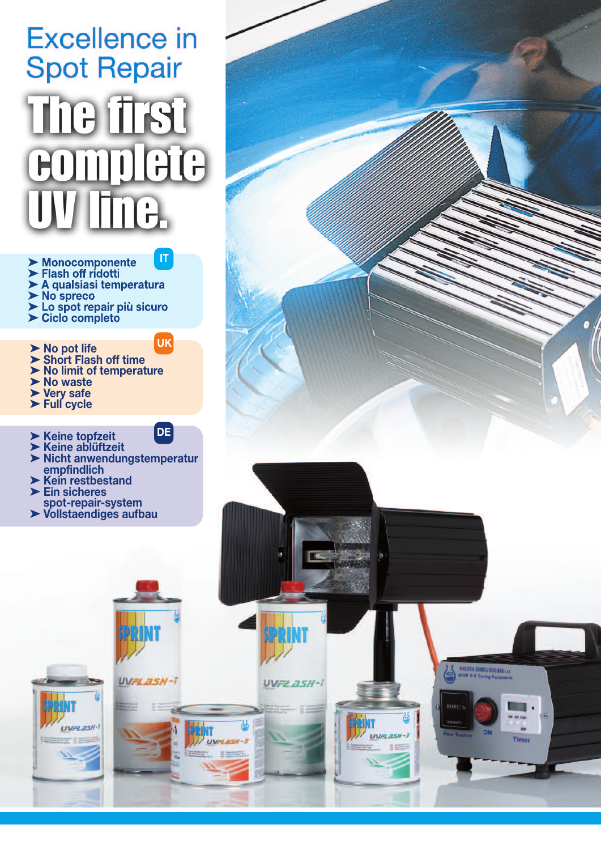